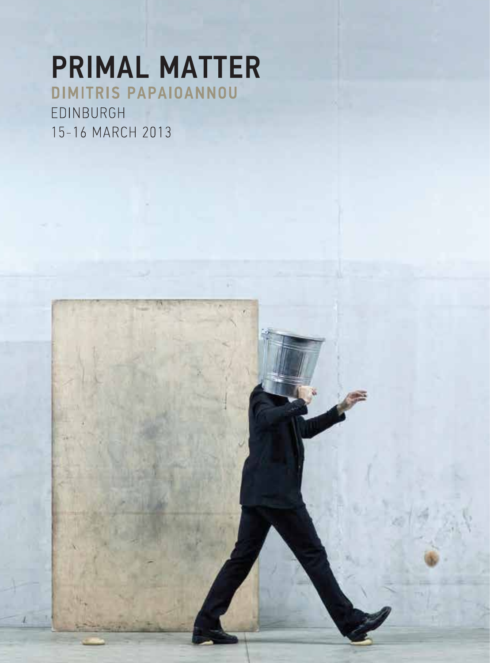# **PRIMAL MATTER** DIMITRIS PAPAIOANNOU

**EDINBURGH** 15-16 MARCH 2013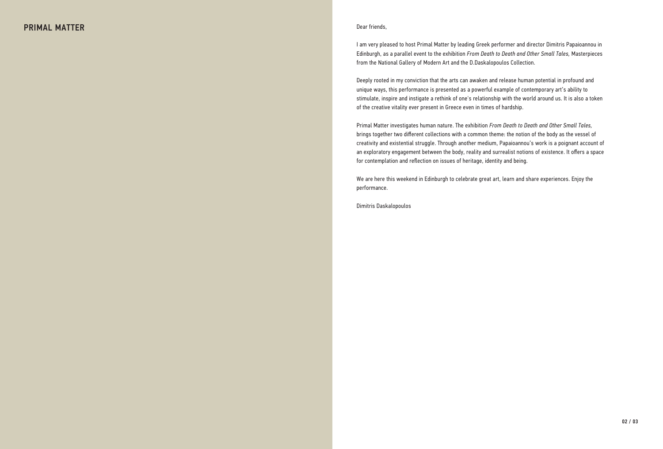#### Dear friends,

I am very pleased to host Primal Matter by leading Greek performer and director Dimitris Papaioannou in Edinburgh, as a parallel event to the exhibition *From Death to Death and Other Small Tales,* Masterpieces from the National Gallery of Modern Art and the D.Daskalopoulos Collection.

Deeply rooted in my conviction that the arts can awaken and release human potential in profound and unique ways, this performance is presented as a powerful example of contemporary art's ability to stimulate, inspire and instigate a rethink of one's relationship with the world around us. It is also a token of the creative vitality ever present in Greece even in times of hardship.

Primal Matter investigates human nature. The exhibition *From Death to Death and Other Small Tales,* brings together two different collections with a common theme: the notion of the body as the vessel of creativity and existential struggle. Through another medium, Papaioannou's work is a poignant account of an exploratory engagement between the body, reality and surrealist notions of existence. It offers a space for contemplation and reflection on issues of heritage, identity and being.

We are here this weekend in Edinburgh to celebrate great art, learn and share experiences. Enjoy the performance.

Dimitris Daskalopoulos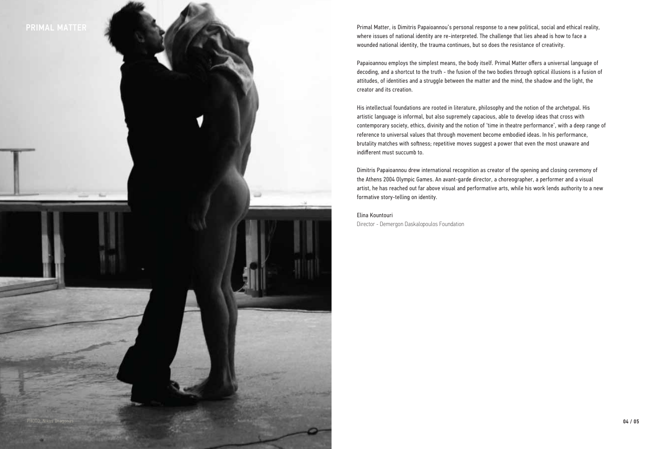

Primal Matter, is Dimitris Papaioannou's personal response to a new political, social and ethical reality, where issues of national identity are re-interpreted. The challenge that lies ahead is how to face a wounded national identity, the trauma continues, but so does the resistance of creativity.

Papaioannou employs the simplest means, the body itself. Primal Matter offers a universal language of decoding, and a shortcut to the truth - the fusion of the two bodies through optical illusions is a fusion of attitudes, of identities and a struggle between the matter and the mind, the shadow and the light, the creator and its creation.

His intellectual foundations are rooted in literature, philosophy and the notion of the archetypal. His artistic language is informal, but also supremely capacious, able to develop ideas that cross with contemporary society, ethics, divinity and the notion of 'time in theatre performance', with a deep range of reference to universal values that through movement become embodied ideas. In his performance, brutality matches with softness; repetitive moves suggest a power that even the most unaware and indifferent must succumb to.

Dimitris Papaioannou drew international recognition as creator of the opening and closing ceremony of the Athens 2004 Olympic Games. An avant-garde director, a choreographer, a performer and a visual artist, he has reached out far above visual and performative arts, while his work lends authority to a new formative story-telling on identity.

Elina Kountouri Director - Demergon Daskalopoulos Foundation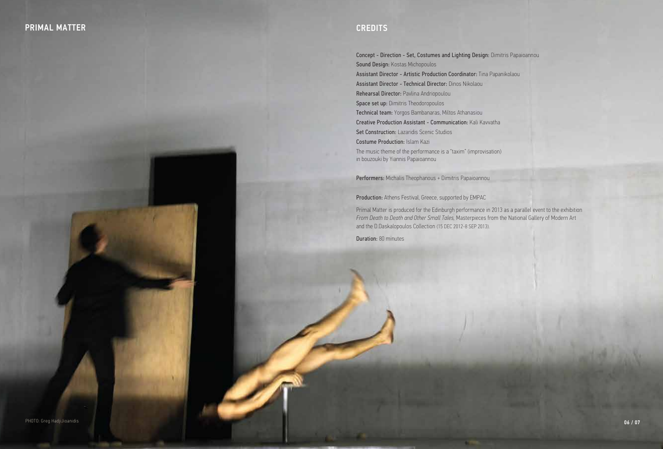# **CREDITS**

Concept - Direction - Set, Costumes and Lighting Design: Dimitris Papaioannou Sound Design: Kostas Michopoulos Assistant Director - Artistic Production Coordinator: Tina Papanikolaou Assistant Director - Technical Director: Dinos Nikolaou Rehearsal Director: Pavlina Andriopoulou Space set up: Dimitris Theodoropoulos Technical team: Yorgos Bambanaras, Miltos Athanasiou Creative Production Assistant - Communication: Kali Kavvatha **Set Construction: Lazaridis Scenic Studios** Costume Production: Islam Kazi The music theme of the performance is a "taxim" (improvisation) in bouzouki by Yiannis Papaioannou

Performers: Michalis Theophanous + Dimitris Papaioannou

Production: Athens Festival, Greece, supported by EMPAC

Primal Matter is produced for the Edinburgh performance in 2013 as a parallel event to the exhibition *From Death to Death and Other Small Tales,* Masterpieces from the National Gallery of Modern Art and the D.Daskalopoulos Collection (15 DEC 2012-8 SEP 2013).

Duration: 80 minutes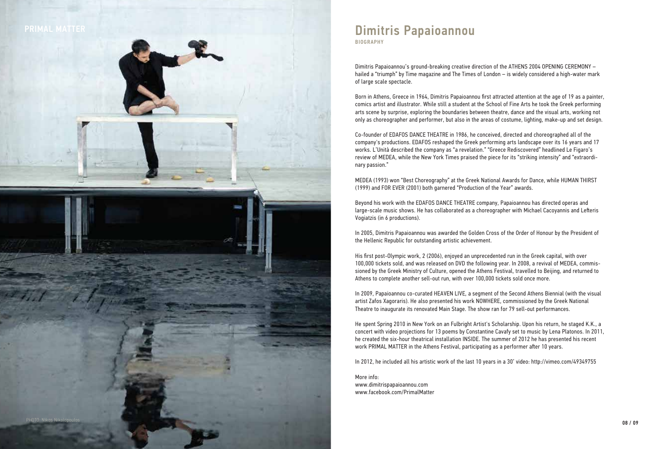

# Dimitris Papaioannou BIOGRAPHY

Dimitris Papaioannou's ground-breaking creative direction of the ATHENS 2004 OPENING CEREMONY – hailed a "triumph" by Time magazine and The Times of London – is widely considered a high-water mark of large scale spectacle.

Born in Athens, Greece in 1964, Dimitris Papaioannou first attracted attention at the age of 19 as a painter, comics artist and illustrator. While still a student at the School of Fine Arts he took the Greek performing arts scene by surprise, exploring the boundaries between theatre, dance and the visual arts, working not only as choreographer and performer, but also in the areas of costume, lighting, make-up and set design.

Co-founder of EDAFOS DANCE THEATRE in 1986, he conceived, directed and choreographed all of the company's productions. EDAFOS reshaped the Greek performing arts landscape over its 16 years and 17 works. L'Unità described the company as "a revelation." "Greece Rediscovered" headlined Le Figaro's review of MEDEA, while the New York Times praised the piece for its "striking intensity" and "extraordinary passion."

MEDEA (1993) won "Best Choreography" at the Greek National Awards for Dance, while HUMAN THIRST (1999) and FOR EVER (2001) both garnered "Production of the Year" awards.

Beyond his work with the EDAFOS DANCE THEATRE company, Papaioannou has directed operas and large-scale music shows. He has collaborated as a choreographer with Michael Cacoyannis and Lefteris Vogiatzis (in 6 productions).

In 2005, Dimitris Papaioannou was awarded the Golden Cross of the Order of Honour by the President of the Hellenic Republic for outstanding artistic achievement.

His first post-Olympic work, 2 (2006), enjoyed an unprecedented run in the Greek capital, with over 100,000 tickets sold, and was released on DVD the following year. In 2008, a revival of MEDEA, commissioned by the Greek Ministry of Culture, opened the Athens Festival, travelled to Beijing, and returned to Athens to complete another sell-out run, with over 100,000 tickets sold once more.

In 2009, Papaioannou co-curated HEAVEN LIVE, a segment of the Second Athens Biennial (with the visual artist Zafos Xagoraris). He also presented his work NOWHERE, commissioned by the Greek National Theatre to inaugurate its renovated Main Stage. The show ran for 79 sell-out performances.

He spent Spring 2010 in New York on an Fulbright Artist's Scholarship. Upon his return, he staged K.K., a concert with video projections for 13 poems by Constantine Cavafy set to music by Lena Platonos. In 2011, he created the six-hour theatrical installation INSIDE. Τhe summer of 2012 he has presented his recent work PRIMAL MATTER in the Athens Festival, participating as a performer after 10 years.

In 2012, he included all his artistic work of the last 10 years in a 30' video: http://vimeo.com/49349755

More info: www.dimitrispapaioannou.com www.facebook.com/PrimalMatter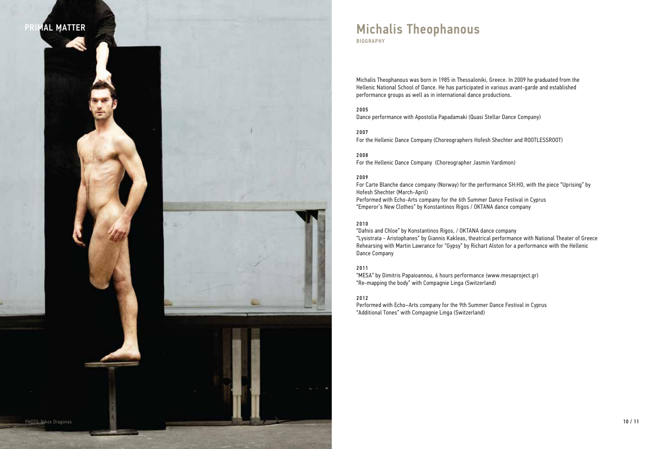

# Michalis Theophanous **BIOGRAPHY**

Michalis Theophanous was born in 1985 in Thessaloniki, Greece. In 2009 he graduated from the Hellenic National School of Dance. He has participated in various avant-garde and established performance groups as well as in international dance productions.

#### 2005

Dance performance with Apostolia Papadamaki (Quasi Stellar Dance Company)

2007 For the Hellenic Dance Company (Choreographers Hofesh Shechter and ROOTLESSROOT)

2008 For the Hellenic Dance Company (Choreographer Jasmin Vardimon)

### 2009

For Carte Blanche dance company (Norway) for the performance SH:HO, with the piece "Uprising" by Hofesh Shechter (March-April) Performed with Echo-Arts company for the 6th Summer Dance Festival in Cyprus "Emperor's New Clothes" by Konstantinos Rigos / OKTANA dance company

## 2010

"Dafnis and Chloe" by Konstantinos Rigos, / OKTANA dance company "Lysistrata - Aristophanes" by Giannis Kakleas, theatrical performance with National Theater of Greece Rehearsing with Martin Lawrance for "Gypsy" by Richart Alston for a performance with the Hellenic Dance Company

## 2011

"MESA" by Dimitris Papaioannou, 6 hours performance (www.mesaproject.gr) "Re-mapping the body" with Compagnie Linga (Switzerland)

## 2012

Performed with Echo–Arts company for the 9th Summer Dance Festival in Cyprus "Additional Tones" with Compagnie Linga (Switzerland)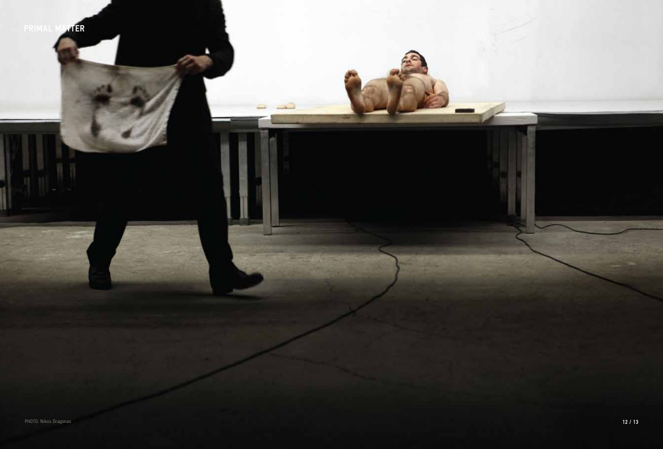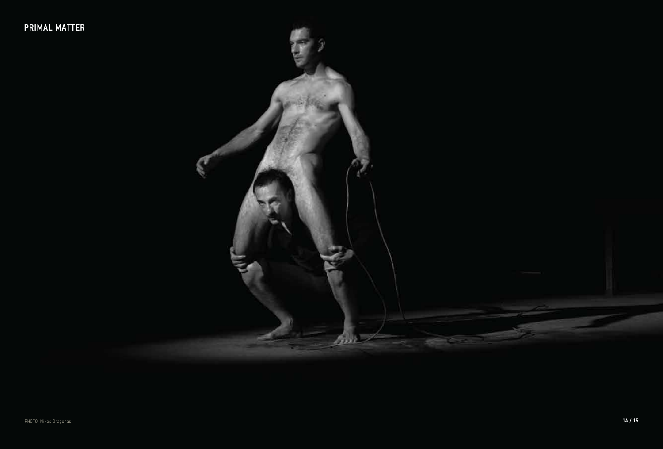